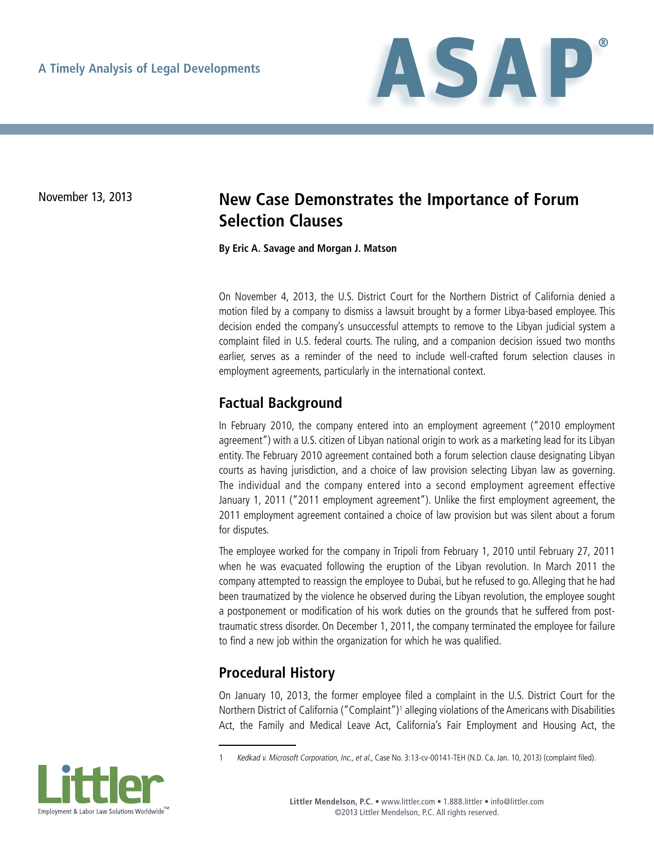

# November 13, 2013 **New Case Demonstrates the Importance of Forum Selection Clauses**

**By Eric A. Savage and Morgan J. Matson**

On November 4, 2013, the U.S. District Court for the Northern District of California denied a motion filed by a company to dismiss a lawsuit brought by a former Libya-based employee. This decision ended the company's unsuccessful attempts to remove to the Libyan judicial system a complaint filed in U.S. federal courts. The ruling, and a companion decision issued two months earlier, serves as a reminder of the need to include well-crafted forum selection clauses in employment agreements, particularly in the international context.

#### **Factual Background**

In February 2010, the company entered into an employment agreement ("2010 employment agreement") with a U.S. citizen of Libyan national origin to work as a marketing lead for its Libyan entity. The February 2010 agreement contained both a forum selection clause designating Libyan courts as having jurisdiction, and a choice of law provision selecting Libyan law as governing. The individual and the company entered into a second employment agreement effective January 1, 2011 ("2011 employment agreement"). Unlike the first employment agreement, the 2011 employment agreement contained a choice of law provision but was silent about a forum for disputes.

The employee worked for the company in Tripoli from February 1, 2010 until February 27, 2011 when he was evacuated following the eruption of the Libyan revolution. In March 2011 the company attempted to reassign the employee to Dubai, but he refused to go. Alleging that he had been traumatized by the violence he observed during the Libyan revolution, the employee sought a postponement or modification of his work duties on the grounds that he suffered from posttraumatic stress disorder. On December 1, 2011, the company terminated the employee for failure to find a new job within the organization for which he was qualified.

#### **Procedural History**

On January 10, 2013, the former employee filed a complaint in the U.S. District Court for the Northern District of California ("Complaint")<sup>1</sup> alleging violations of the Americans with Disabilities Act, the Family and Medical Leave Act, California's Fair Employment and Housing Act, the

<sup>1</sup> Kedkad v. Microsoft Corporation, Inc., et al., Case No. 3:13-cv-00141-TEH (N.D. Ca. Jan. 10, 2013) (complaint filed).

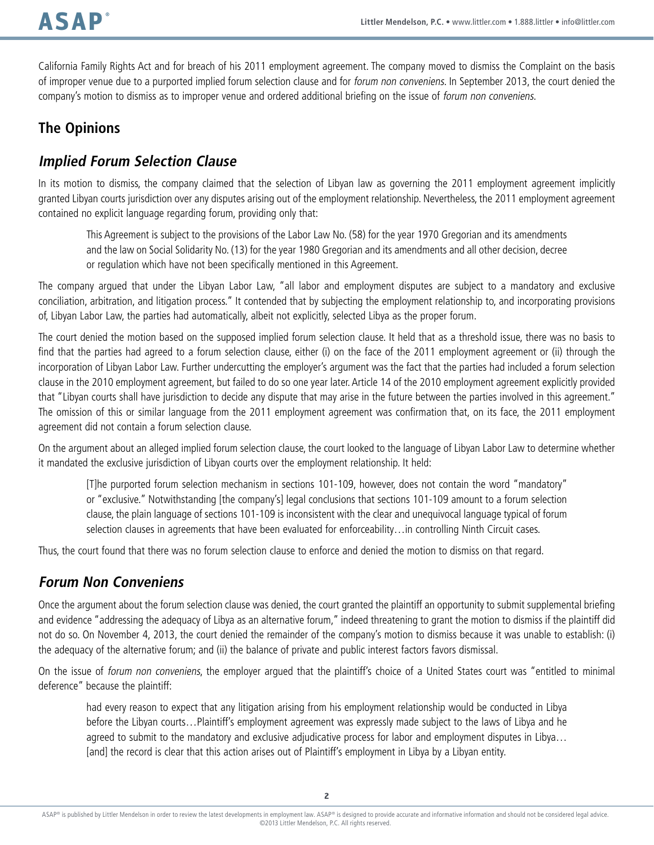California Family Rights Act and for breach of his 2011 employment agreement. The company moved to dismiss the Complaint on the basis of improper venue due to a purported implied forum selection clause and for forum non conveniens. In September 2013, the court denied the company's motion to dismiss as to improper venue and ordered additional briefing on the issue of forum non conveniens.

## **The Opinions**

#### **Implied Forum Selection Clause**

In its motion to dismiss, the company claimed that the selection of Libyan law as governing the 2011 employment agreement implicitly granted Libyan courts jurisdiction over any disputes arising out of the employment relationship. Nevertheless, the 2011 employment agreement contained no explicit language regarding forum, providing only that:

This Agreement is subject to the provisions of the Labor Law No. (58) for the year 1970 Gregorian and its amendments and the law on Social Solidarity No. (13) for the year 1980 Gregorian and its amendments and all other decision, decree or regulation which have not been specifically mentioned in this Agreement.

The company argued that under the Libyan Labor Law, "all labor and employment disputes are subject to a mandatory and exclusive conciliation, arbitration, and litigation process." It contended that by subjecting the employment relationship to, and incorporating provisions of, Libyan Labor Law, the parties had automatically, albeit not explicitly, selected Libya as the proper forum.

The court denied the motion based on the supposed implied forum selection clause. It held that as a threshold issue, there was no basis to find that the parties had agreed to a forum selection clause, either (i) on the face of the 2011 employment agreement or (ii) through the incorporation of Libyan Labor Law. Further undercutting the employer's argument was the fact that the parties had included a forum selection clause in the 2010 employment agreement, but failed to do so one year later. Article 14 of the 2010 employment agreement explicitly provided that "Libyan courts shall have jurisdiction to decide any dispute that may arise in the future between the parties involved in this agreement." The omission of this or similar language from the 2011 employment agreement was confirmation that, on its face, the 2011 employment agreement did not contain a forum selection clause.

On the argument about an alleged implied forum selection clause, the court looked to the language of Libyan Labor Law to determine whether it mandated the exclusive jurisdiction of Libyan courts over the employment relationship. It held:

[T]he purported forum selection mechanism in sections 101-109, however, does not contain the word "mandatory" or "exclusive." Notwithstanding [the company's] legal conclusions that sections 101-109 amount to a forum selection clause, the plain language of sections 101-109 is inconsistent with the clear and unequivocal language typical of forum selection clauses in agreements that have been evaluated for enforceability...in controlling Ninth Circuit cases.

Thus, the court found that there was no forum selection clause to enforce and denied the motion to dismiss on that regard.

## **Forum Non Conveniens**

Once the argument about the forum selection clause was denied, the court granted the plaintiff an opportunity to submit supplemental briefing and evidence "addressing the adequacy of Libya as an alternative forum," indeed threatening to grant the motion to dismiss if the plaintiff did not do so. On November 4, 2013, the court denied the remainder of the company's motion to dismiss because it was unable to establish: (i) the adequacy of the alternative forum; and (ii) the balance of private and public interest factors favors dismissal.

On the issue of forum non conveniens, the employer argued that the plaintiff's choice of a United States court was "entitled to minimal deference" because the plaintiff:

had every reason to expect that any litigation arising from his employment relationship would be conducted in Libya before the Libyan courts…Plaintiff's employment agreement was expressly made subject to the laws of Libya and he agreed to submit to the mandatory and exclusive adjudicative process for labor and employment disputes in Libya... [and] the record is clear that this action arises out of Plaintiff's employment in Libya by a Libyan entity.